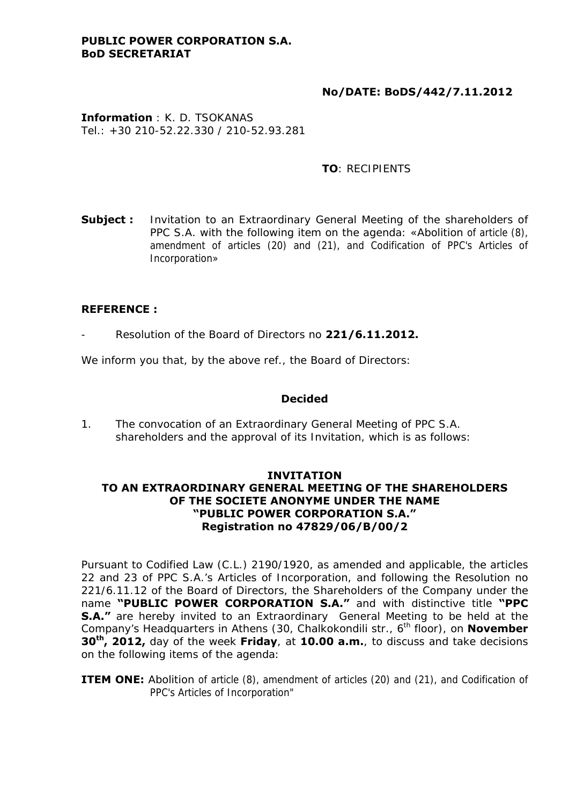### **PUBLIC POWER CORPORATION S.A. BoD SECRETARIAT**

# **No/DATE: BoDS/442/7.11.2012**

**Information** : K. D. TSOKANAS Tel.: +30 210-52.22.330 / 210-52.93.281

### **TO**: RECIPIENTS

**Subject :** Invitation to an Extraordinary General Meeting of the shareholders of PPC S.A. with the following item on the agenda: «Abolition of article (8), amendment of articles (20) and (21), and Codification of PPC's Articles of Incorporation»

#### **REFERENCE :**

- Resolution of the Board of Directors no **221/6.11.2012.** 

We inform you that, by the above ref., the Board of Directors:

#### **Decided**

1. The convocation of an Extraordinary General Meeting of PPC S.A. shareholders and the approval of its Invitation, which is as follows:

### **INVITATION TO AN EXTRAORDINARY GENERAL MEETING OF THE SHAREHOLDERS OF THE SOCIETE ANONYME UNDER THE NAME "PUBLIC POWER CORPORATION S.A." Registration no 47829/06/Β/00/2**

Pursuant to Codified Law (C.L.) 2190/1920, as amended and applicable, the articles 22 and 23 of PPC S.A.'s Articles of Incorporation, and following the Resolution no 221/6.11.12 of the Board of Directors, the Shareholders of the Company under the name **"PUBLIC POWER CORPORATION S.A."** and with distinctive title **"PPC S.A."** are hereby invited to an Extraordinary General Meeting to be held at the Company's Headquarters in Athens (30, Chalkokondili str., 6<sup>th</sup> floor), on **November 30th, 2012,** day of the week **Friday**, at **10.00 a.m.**, to discuss and take decisions on the following items of the agenda:

**ITEM ONE:** Abolition of article (8), amendment of articles (20) and (21), and Codification of PPC's Articles of Incorporation"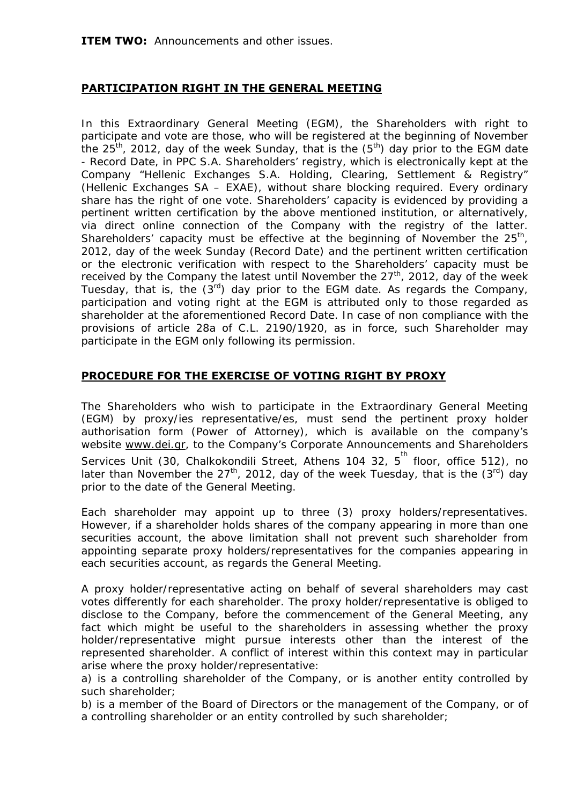**ITEM TWO:** Announcements and other issues.

# **PARTICIPATION RIGHT IN THE GENERAL MEETING**

In this Extraordinary General Meeting (EGM), the Shareholders with right to participate and vote are those, who will be registered at the beginning of November the  $25<sup>th</sup>$ , 2012, day of the week Sunday, that is the  $(5<sup>th</sup>)$  day prior to the EGM date - Record Date, in PPC S.A. Shareholders' registry, which is electronically kept at the Company "Hellenic Exchanges S.A. Holding, Clearing, Settlement & Registry" (Hellenic Exchanges SA – EXAE), without share blocking required. Every ordinary share has the right of one vote. Shareholders' capacity is evidenced by providing a pertinent written certification by the above mentioned institution, or alternatively, via direct online connection of the Company with the registry of the latter. Shareholders' capacity must be effective at the beginning of November the  $25<sup>th</sup>$ , 2012, day of the week Sunday (Record Date) and the pertinent written certification or the electronic verification with respect to the Shareholders' capacity must be received by the Company the latest until November the  $27<sup>th</sup>$ , 2012, day of the week Tuesday, that is, the  $(3^{rd})$  day prior to the EGM date. As regards the Company, participation and voting right at the EGM is attributed only to those regarded as shareholder at the aforementioned Record Date. In case of non compliance with the provisions of article 28a of C.L. 2190/1920, as in force, such Shareholder may participate in the EGM only following its permission.

# **PROCEDURE FOR THE EXERCISE OF VOTING RIGHT BY PROXY**

The Shareholders who wish to participate in the Extraordinary General Meeting (EGM) by proxy/ies representative/es, must send the pertinent proxy holder authorisation form (Power of Attorney), which is available on the company's website [www.dei.gr](http://www.dei.gr/), to the Company's Corporate Announcements and Shareholders Services Unit (30, Chalkokondili Street, Athens 104 32, 5<sup>th</sup> floor, office 512), no later than November the  $27<sup>th</sup>$ , 2012, day of the week Tuesday, that is the  $(3<sup>rd</sup>)$  day prior to the date of the General Meeting.

Each shareholder may appoint up to three (3) proxy holders/representatives. However, if a shareholder holds shares of the company appearing in more than one securities account, the above limitation shall not prevent such shareholder from appointing separate proxy holders/representatives for the companies appearing in each securities account, as regards the General Meeting.

A proxy holder/representative acting on behalf of several shareholders may cast votes differently for each shareholder. The proxy holder/representative is obliged to disclose to the Company, before the commencement of the General Meeting, any fact which might be useful to the shareholders in assessing whether the proxy holder/representative might pursue interests other than the interest of the represented shareholder. A conflict of interest within this context may in particular arise where the proxy holder/representative:

a) is a controlling shareholder of the Company, or is another entity controlled by such shareholder;

b) is a member of the Board of Directors or the management of the Company, or of a controlling shareholder or an entity controlled by such shareholder;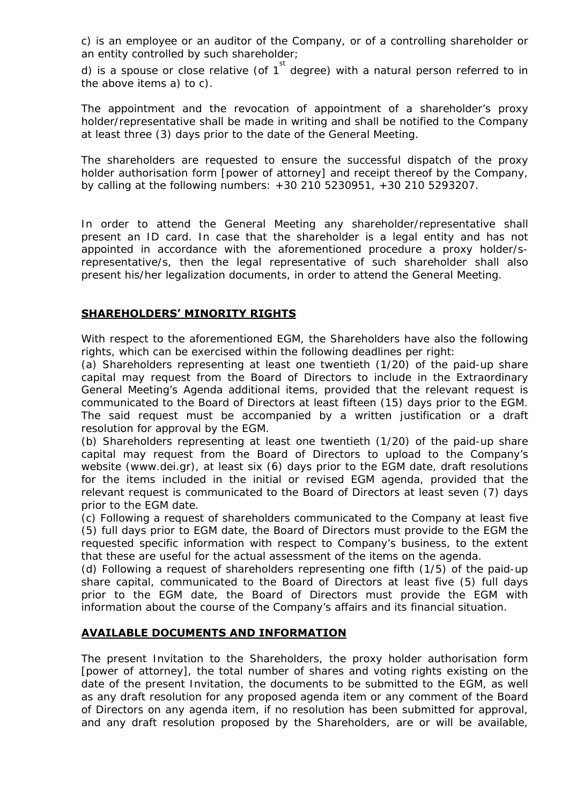c) is an employee or an auditor of the Company, or of a controlling shareholder or an entity controlled by such shareholder;

d) is a spouse or close relative (of  $1^{st}$  degree) with a natural person referred to in the above items a) to c).

The appointment and the revocation of appointment of a shareholder's proxy holder/representative shall be made in writing and shall be notified to the Company at least three (3) days prior to the date of the General Meeting.

The shareholders are requested to ensure the successful dispatch of the proxy holder authorisation form [power of attorney] and receipt thereof by the Company, by calling at the following numbers: +30 210 5230951, +30 210 5293207.

In order to attend the General Meeting any shareholder/representative shall present an ID card. In case that the shareholder is a legal entity and has not appointed in accordance with the aforementioned procedure a proxy holder/srepresentative/s, then the legal representative of such shareholder shall also present his/her legalization documents, in order to attend the General Meeting.

# **SHAREHOLDERS' MINORITY RIGHTS**

With respect to the aforementioned EGM, the Shareholders have also the following rights, which can be exercised within the following deadlines per right:

(a) Shareholders representing at least one twentieth (1/20) of the paid-up share capital may request from the Board of Directors to include in the Extraordinary General Meeting's Agenda additional items, provided that the relevant request is communicated to the Board of Directors at least fifteen (15) days prior to the EGM. The said request must be accompanied by a written justification or a draft resolution for approval by the EGM.

(b) Shareholders representing at least one twentieth (1/20) of the paid-up share capital may request from the Board of Directors to upload to the Company's website (www.dei.gr), at least six (6) days prior to the EGM date, draft resolutions for the items included in the initial or revised EGM agenda, provided that the relevant request is communicated to the Board of Directors at least seven (7) days prior to the EGM date.

(c) Following a request of shareholders communicated to the Company at least five (5) full days prior to EGM date, the Board of Directors must provide to the EGM the requested specific information with respect to Company's business, to the extent that these are useful for the actual assessment of the items on the agenda.

(d) Following a request of shareholders representing one fifth (1/5) of the paid-up share capital, communicated to the Board of Directors at least five (5) full days prior to the EGM date, the Board of Directors must provide the EGM with information about the course of the Company's affairs and its financial situation.

## **AVAILABLE DOCUMENTS AND INFORMATION**

The present Invitation to the Shareholders, the proxy holder authorisation form [power of attorney], the total number of shares and voting rights existing on the date of the present Invitation, the documents to be submitted to the EGM, as well as any draft resolution for any proposed agenda item or any comment of the Board of Directors on any agenda item, if no resolution has been submitted for approval, and any draft resolution proposed by the Shareholders, are or will be available,